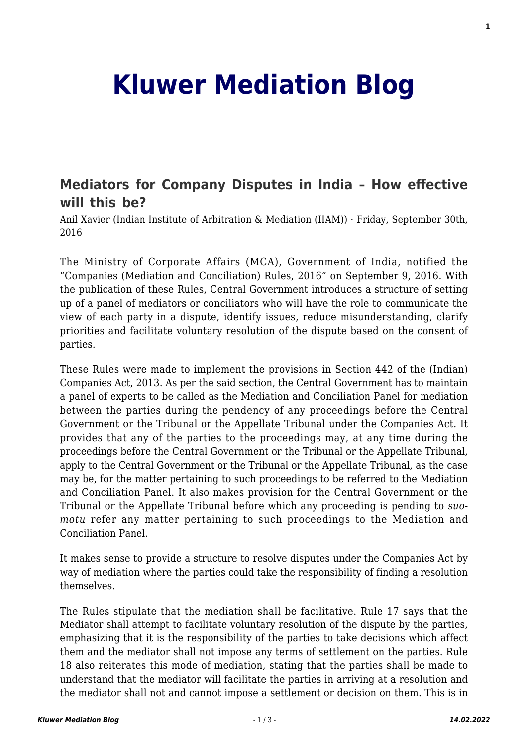## **[Kluwer Mediation Blog](http://mediationblog.kluwerarbitration.com/)**

## **[Mediators for Company Disputes in India – How effective](http://mediationblog.kluwerarbitration.com/2016/09/30/mediators-company-disputes-india-effective-will/) [will this be?](http://mediationblog.kluwerarbitration.com/2016/09/30/mediators-company-disputes-india-effective-will/)**

Anil Xavier (Indian Institute of Arbitration & Mediation (IIAM)) · Friday, September 30th, 2016

The Ministry of Corporate Affairs (MCA), Government of India, notified the "Companies (Mediation and Conciliation) Rules, 2016" on September 9, 2016. With the publication of these Rules, Central Government introduces a structure of setting up of a panel of mediators or conciliators who will have the role to communicate the view of each party in a dispute, identify issues, reduce misunderstanding, clarify priorities and facilitate voluntary resolution of the dispute based on the consent of parties.

These Rules were made to implement the provisions in Section 442 of the (Indian) Companies Act, 2013. As per the said section, the Central Government has to maintain a panel of experts to be called as the Mediation and Conciliation Panel for mediation between the parties during the pendency of any proceedings before the Central Government or the Tribunal or the Appellate Tribunal under the Companies Act. It provides that any of the parties to the proceedings may, at any time during the proceedings before the Central Government or the Tribunal or the Appellate Tribunal, apply to the Central Government or the Tribunal or the Appellate Tribunal, as the case may be, for the matter pertaining to such proceedings to be referred to the Mediation and Conciliation Panel. It also makes provision for the Central Government or the Tribunal or the Appellate Tribunal before which any proceeding is pending to *suomotu* refer any matter pertaining to such proceedings to the Mediation and Conciliation Panel.

It makes sense to provide a structure to resolve disputes under the Companies Act by way of mediation where the parties could take the responsibility of finding a resolution themselves.

The Rules stipulate that the mediation shall be facilitative. Rule 17 says that the Mediator shall attempt to facilitate voluntary resolution of the dispute by the parties, emphasizing that it is the responsibility of the parties to take decisions which affect them and the mediator shall not impose any terms of settlement on the parties. Rule 18 also reiterates this mode of mediation, stating that the parties shall be made to understand that the mediator will facilitate the parties in arriving at a resolution and the mediator shall not and cannot impose a settlement or decision on them. This is in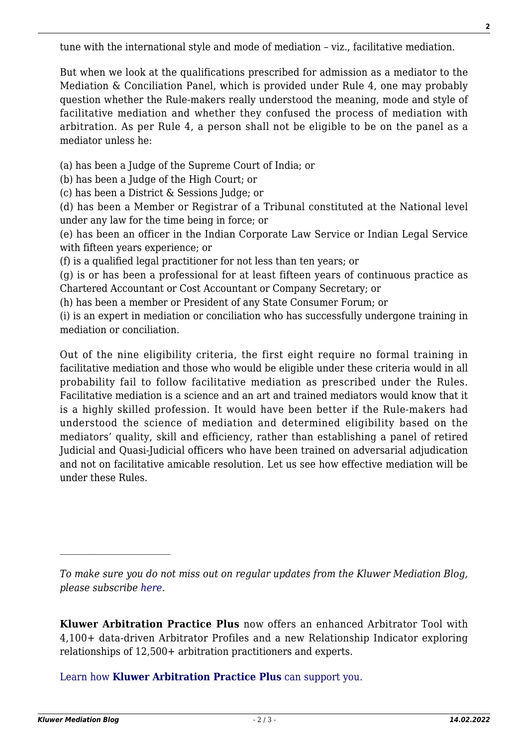tune with the international style and mode of mediation – viz., facilitative mediation.

But when we look at the qualifications prescribed for admission as a mediator to the Mediation & Conciliation Panel, which is provided under Rule 4, one may probably question whether the Rule-makers really understood the meaning, mode and style of facilitative mediation and whether they confused the process of mediation with arbitration. As per Rule 4, a person shall not be eligible to be on the panel as a mediator unless he:

(a) has been a Judge of the Supreme Court of India; or

(b) has been a Judge of the High Court; or

(c) has been a District & Sessions Judge; or

(d) has been a Member or Registrar of a Tribunal constituted at the National level under any law for the time being in force; or

(e) has been an officer in the Indian Corporate Law Service or Indian Legal Service with fifteen years experience; or

(f) is a qualified legal practitioner for not less than ten years; or

(g) is or has been a professional for at least fifteen years of continuous practice as Chartered Accountant or Cost Accountant or Company Secretary; or

(h) has been a member or President of any State Consumer Forum; or

(i) is an expert in mediation or conciliation who has successfully undergone training in mediation or conciliation.

Out of the nine eligibility criteria, the first eight require no formal training in facilitative mediation and those who would be eligible under these criteria would in all probability fail to follow facilitative mediation as prescribed under the Rules. Facilitative mediation is a science and an art and trained mediators would know that it is a highly skilled profession. It would have been better if the Rule-makers had understood the science of mediation and determined eligibility based on the mediators' quality, skill and efficiency, rather than establishing a panel of retired Judicial and Quasi-Judicial officers who have been trained on adversarial adjudication and not on facilitative amicable resolution. Let us see how effective mediation will be under these Rules.

[Learn how](https://www.wolterskluwer.com/en/solutions/kluwerarbitration/practiceplus?utm_source=mediationblog&utm_medium=articleCTA&utm_campaign=article-banner) **[Kluwer Arbitration Practice Plus](https://www.wolterskluwer.com/en/solutions/kluwerarbitration/practiceplus?utm_source=mediationblog&utm_medium=articleCTA&utm_campaign=article-banner)** [can support you.](https://www.wolterskluwer.com/en/solutions/kluwerarbitration/practiceplus?utm_source=mediationblog&utm_medium=articleCTA&utm_campaign=article-banner)

 $\mathcal{L}_\text{max}$ 

*To make sure you do not miss out on regular updates from the Kluwer Mediation Blog, please subscribe [here.](http://mediationblog.kluwerarbitration.com/newsletter/)*

**Kluwer Arbitration Practice Plus** now offers an enhanced Arbitrator Tool with 4,100+ data-driven Arbitrator Profiles and a new Relationship Indicator exploring relationships of 12,500+ arbitration practitioners and experts.